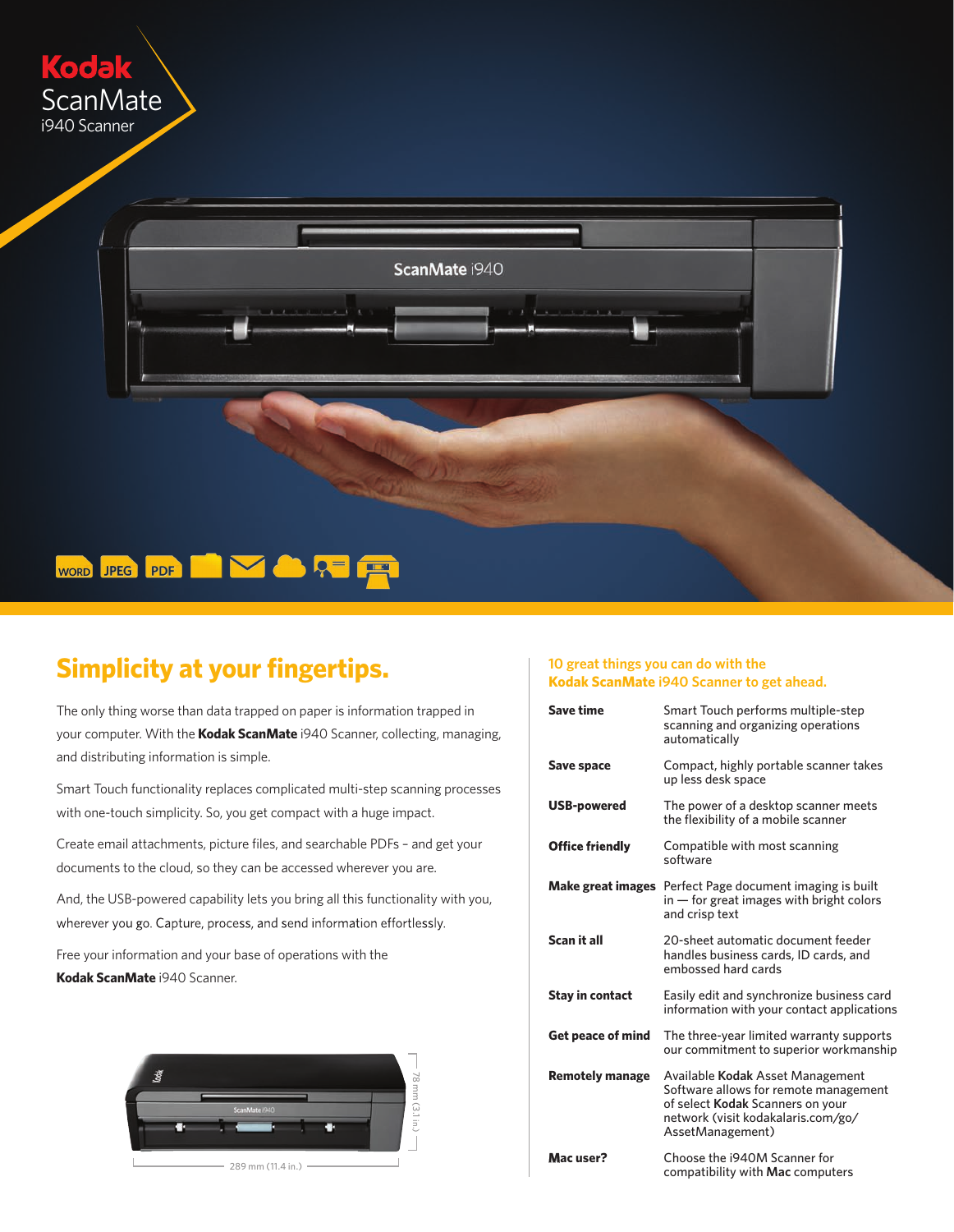



## **Simplicity at your fingertips.**

The only thing worse than data trapped on paper is information trapped in your computer. With the **Kodak ScanMate** i940 Scanner, collecting, managing, and distributing information is simple.

Smart Touch functionality replaces complicated multi-step scanning processes with one-touch simplicity. So, you get compact with a huge impact.

Create email attachments, picture files, and searchable PDFs – and get your documents to the cloud, so they can be accessed wherever you are.

And, the USB-powered capability lets you bring all this functionality with you, wherever you go. Capture, process, and send information effortlessly.

Free your information and your base of operations with the **Kodak ScanMate** i940 Scanner.



289 mm (11.4 in.)

## **10 great things you can do with the Kodak ScanMate i940 Scanner to get ahead.**

| Save time                | Smart Touch performs multiple-step<br>scanning and organizing operations<br>automatically                                                                               |
|--------------------------|-------------------------------------------------------------------------------------------------------------------------------------------------------------------------|
| Save space               | Compact, highly portable scanner takes<br>up less desk space                                                                                                            |
| <b>USB-powered</b>       | The power of a desktop scanner meets<br>the flexibility of a mobile scanner                                                                                             |
| <b>Office friendly</b>   | Compatible with most scanning<br>software                                                                                                                               |
| Make great images        | Perfect Page document imaging is built<br>$\mathbf{m}$ – for great images with bright colors<br>and crisp text                                                          |
| Scan it all              | 20-sheet automatic document feeder<br>handles business cards, ID cards, and<br>embossed hard cards                                                                      |
| <b>Stay in contact</b>   | Easily edit and synchronize business card<br>information with your contact applications                                                                                 |
| <b>Get peace of mind</b> | The three-year limited warranty supports<br>our commitment to superior workmanship                                                                                      |
| <b>Remotely manage</b>   | Available Kodak Asset Management<br>Software allows for remote management<br>of select Kodak Scanners on your<br>network (visit kodakalaris.com/go/<br>AssetManagement) |
| Mac user?                | Choose the i940M Scanner for<br>compatibility with Mac computers                                                                                                        |